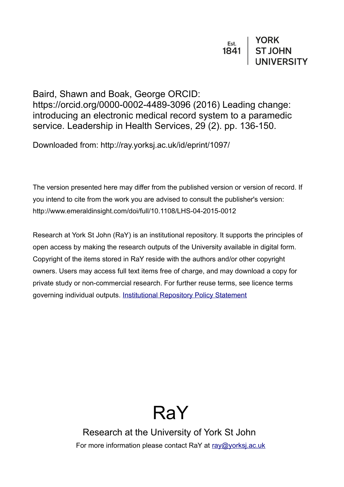Baird, Shawn and Boak, George ORCID: https://orcid.org/0000-0002-4489-3096 (2016) Leading change: introducing an electronic medical record system to a paramedic service. Leadership in Health Services, 29 (2). pp. 136-150.

Downloaded from: http://ray.yorksj.ac.uk/id/eprint/1097/

The version presented here may differ from the published version or version of record. If you intend to cite from the work you are advised to consult the publisher's version: http://www.emeraldinsight.com/doi/full/10.1108/LHS-04-2015-0012

Research at York St John (RaY) is an institutional repository. It supports the principles of open access by making the research outputs of the University available in digital form. Copyright of the items stored in RaY reside with the authors and/or other copyright owners. Users may access full text items free of charge, and may download a copy for private study or non-commercial research. For further reuse terms, see licence terms governing individual outputs. [Institutional Repository Policy Statement](https://www.yorksj.ac.uk/ils/repository-policies/)

# RaY

Research at the University of York St John For more information please contact RaY at [ray@yorksj.ac.uk](mailto:ray@yorksj.ac.uk)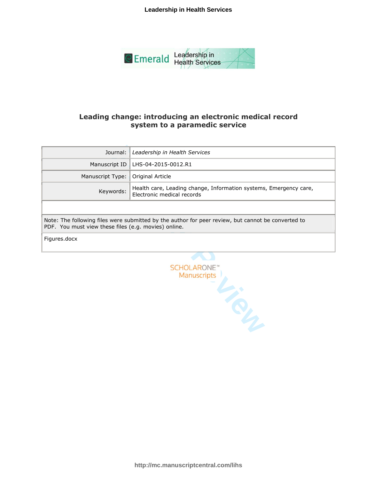**Leadership in Health Services**



#### **Leading change: introducing an electronic medical record system to a paramedic service**

| Journal:                                                                                                                                                   | Leadership in Health Services                                                                   |  |  |  |
|------------------------------------------------------------------------------------------------------------------------------------------------------------|-------------------------------------------------------------------------------------------------|--|--|--|
| Manuscript ID                                                                                                                                              | LHS-04-2015-0012.R1                                                                             |  |  |  |
| Manuscript Type:                                                                                                                                           | Original Article                                                                                |  |  |  |
| Keywords:                                                                                                                                                  | Health care, Leading change, Information systems, Emergency care,<br>Electronic medical records |  |  |  |
|                                                                                                                                                            |                                                                                                 |  |  |  |
| Note: The following files were submitted by the author for peer review, but cannot be converted to<br>PDF. You must view these files (e.g. movies) online. |                                                                                                 |  |  |  |
| Figures.docx                                                                                                                                               |                                                                                                 |  |  |  |
|                                                                                                                                                            |                                                                                                 |  |  |  |
|                                                                                                                                                            |                                                                                                 |  |  |  |



**http://mc.manuscriptcentral.com/lihs**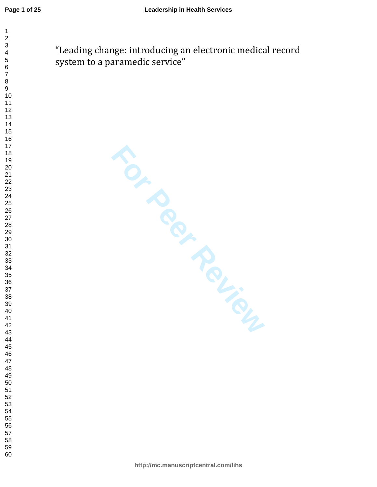$\mathbf{1}$  $\overline{2}$  $\overline{4}$  $\overline{7}$ 

"Leading change: introducing an electronic medical record system to a paramedic service"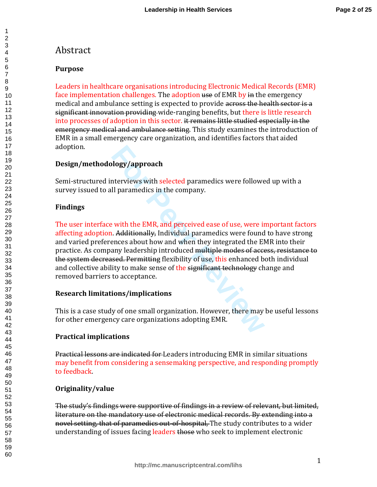# Abstract

## **Purpose**

Leaders in healthcare organisations introducing Electronic Medical Records (EMR) face implementation challenges. The adoption use of EMR by in the emergency medical and ambulance setting is expected to provide across the health sector is a significant innovation providing wide-ranging benefits, but there is little research into processes of adoption in this sector. it remains little studied especially in the emergency medical and ambulance setting. This study examines the introduction of EMR in a small emergency care organization, and identifies factors that aided adoption.

## **Design/methodology/approach**

Semi-structured interviews with selected paramedics were followed up with a survey issued to all paramedics in the company.

## **Findings**

**Fourier System State of Allen State State State State State State State State State State State State State State State State State State State State State State State State State State State State State State State State** The user interface with the EMR, and perceived ease of use, were important factors affecting adoption. Additionally, Individual paramedics were found to have strong and varied preferences about how and when they integrated the EMR into their practice. As company leadership introduced multiple modes of access, resistance to the system decreased. Permitting flexibility of use, this enhanced both individual and collective ability to make sense of the significant technology change and removed barriers to acceptance.

## **Research limitations/implications**

This is a case study of one small organization. However, there may be useful lessons for other emergency care organizations adopting EMR.

## **Practical implications**

Practical lessons are indicated for Leaders introducing EMR in similar situations may benefit from considering a sensemaking perspective, and responding promptly to feedback.

## **Originality/value**

The study's findings were supportive of findings in a review of relevant, but limited, literature on the mandatory use of electronic medical records. By extending into a novel setting, that of paramedics out-of-hospital, The study contributes to a wider understanding of issues facing leaders those who seek to implement electronic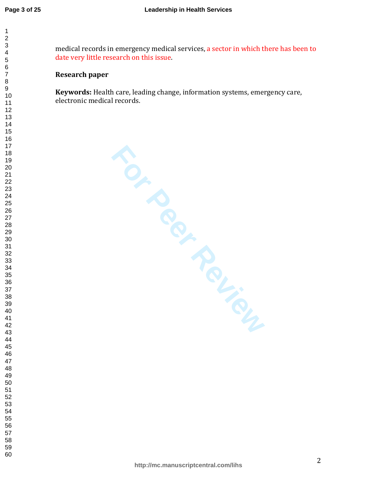$\mathbf{1}$  $\overline{2}$  $\overline{\mathbf{4}}$  $\overline{7}$ 

medical records in emergency medical services, a sector in which there has been to date very little research on this issue.

#### **Research paper**

**Keywords:** Health care, leading change, information systems, emergency care, electronic medical records.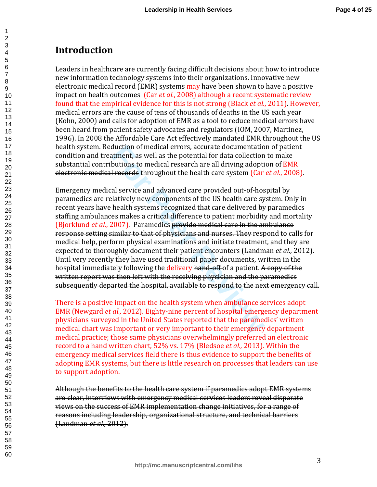# **Introduction**

123456789

Leaders in healthcare are currently facing difficult decisions about how to introduce new information technology systems into their organizations. Innovative new electronic medical record (EMR) systems may have been shown to have a positive impact on health outcomes (Car *et al.*, 2008) although a recent systematic review found that the empirical evidence for this is not strong (Black *et al.*, 2011). However, medical errors are the cause of tens of thousands of deaths in the US each year (Kohn, 2000) and calls for adoption of EMR as a tool to reduce medical errors have been heard from patient safety advocates and regulators (IOM, 2007, Martinez, 1996). In 2008 the Affordable Care Act effectively mandated EMR throughout the US health system. Reduction of medical errors, accurate documentation of patient condition and treatment, as well as the potential for data collection to make substantial contributions to medical research are all driving adoption of EMR electronic medical records throughout the health care system (Car *et al.*, 2008).

duction of medical errors, accurate documentatio<br>ttment, as well as the potential for data collection<br>butions to medical research are all driving adopti<br>Frecords throughout the health care system (Car<br>al service and advanc Emergency medical service and advanced care provided out-of-hospital by paramedics are relatively new components of the US health care system. Only in recent years have health systems recognized that care delivered by paramedics staffing ambulances makes a critical difference to patient morbidity and mortality (Bjorklund *et al.*, 2007). Paramedics provide medical care in the ambulance response setting similar to that of physicians and nurses. They respond to calls for medical help, perform physical examinations and initiate treatment, and they are expected to thoroughly document their patient encounters (Landman *et al.,* 2012). Until very recently they have used traditional paper documents, written in the hospital immediately following the delivery hand-off-of a patient. A copy of the written report was then left with the receiving physician and the paramedics subsequently departed the hospital, available to respond to the next emergency call.

There is a positive impact on the health system when ambulance services adopt EMR (Newgard *et al.,* 2012). Eighty-nine percent of hospital emergency department physicians surveyed in the United States reported that the paramedics' written medical chart was important or very important to their emergency department medical practice; those same physicians overwhelmingly preferred an electronic record to a hand written chart, 52% vs. 17% (Bledsoe *et al.,* 2013). Within the emergency medical services field there is thus evidence to support the benefits of adopting EMR systems, but there is little research on processes that leaders can use to support adoption.

Although the benefits to the health care system if paramedics adopt EMR systems are clear, interviews with emergency medical services leaders reveal disparate views on the success of EMR implementation change initiatives, for a range of reasons including leadership, organizational structure, and technical barriers (Landman *et al.,* 2012).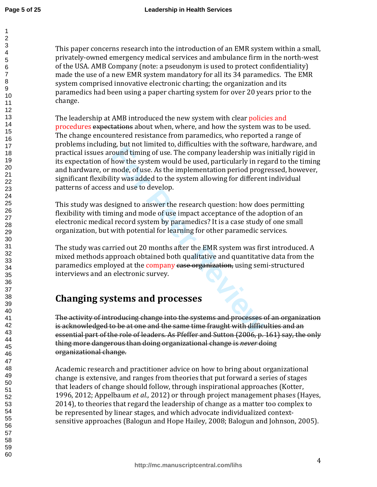$\mathbf{1}$ 

60

This paper concerns research into the introduction of an EMR system within a small, privately-owned emergency medical services and ambulance firm in the north-west of the USA. AMB Company (note: a pseudonym is used to protect confidentiality) made the use of a new EMR system mandatory for all its 34 paramedics. The EMR system comprised innovative electronic charting; the organization and its paramedics had been using a paper charting system for over 20 years prior to the change.

ound timing of use. The company leadership was<br>ound timing of use. The company leadership was<br>how the system would be used, particularly in reg<br>mode, of use. As the implementation period prog<br>ity was added to the system al The leadership at AMB introduced the new system with clear policies and procedures expectations about when, where, and how the system was to be used. The change encountered resistance from paramedics, who reported a range of problems including, but not limited to, difficulties with the software, hardware, and practical issues around timing of use. The company leadership was initially rigid in its expectation of how the system would be used, particularly in regard to the timing and hardware, or mode, of use. As the implementation period progressed, however, significant flexibility was added to the system allowing for different individual patterns of access and use to develop.

This study was designed to answer the research question: how does permitting flexibility with timing and mode of use impact acceptance of the adoption of an electronic medical record system by paramedics? It is a case study of one small organization, but with potential for learning for other paramedic services.

The study was carried out 20 months after the EMR system was first introduced. A mixed methods approach obtained both qualitative and quantitative data from the paramedics employed at the company case organization, using semi-structured interviews and an electronic survey.

# **Changing systems and processes**

The activity of introducing change into the systems and processes of an organization is acknowledged to be at one and the same time fraught with difficulties and an essential part of the role of leaders. As Pfeffer and Sutton (2006, p. 161) say, the only thing more dangerous than doing organizational change is *never* doing organizational change.

Academic research and practitioner advice on how to bring about organizational change is extensive, and ranges from theories that put forward a series of stages that leaders of change should follow, through inspirational approaches (Kotter, 1996, 2012; Appelbaum *et al.,* 2012) or through project management phases (Hayes, 2014), to theories that regard the leadership of change as a matter too complex to be represented by linear stages, and which advocate individualized contextsensitive approaches (Balogun and Hope Hailey, 2008; Balogun and Johnson, 2005).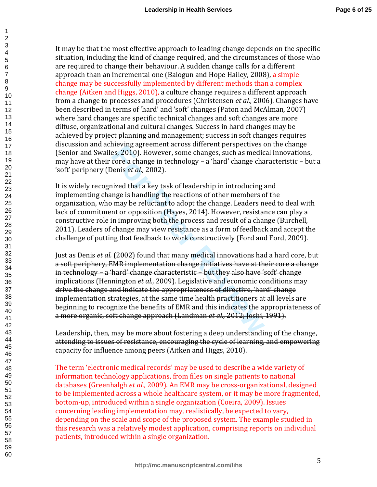It may be that the most effective approach to leading change depends on the specific situation, including the kind of change required, and the circumstances of those who are required to change their behaviour. A sudden change calls for a different approach than an incremental one (Balogun and Hope Hailey, 2008), a simple change may be successfully implemented by different methods than a complex change (Aitken and Higgs, 2010), a culture change requires a different approach from a change to processes and procedures (Christensen *et al.,* 2006). Changes have been described in terms of 'hard' and 'soft' changes (Paton and McAlman, 2007) where hard changes are specific technical changes and soft changes are more diffuse, organizational and cultural changes. Success in hard changes may be achieved by project planning and management; success in soft changes requires discussion and achieving agreement across different perspectives on the change (Senior and Swailes, 2010). However, some changes, such as medical innovations, may have at their core a change in technology – a 'hard' change characteristic – but a 'soft' periphery (Denis *et al.,* 2002).

123456789

It is widely recognized that a key task of leadership in introducing and implementing change is handling the reactions of other members of the organization, who may be reluctant to adopt the change. Leaders need to deal with lack of commitment or opposition (Hayes, 2014). However, resistance can play a constructive role in improving both the process and result of a change (Burchell, 2011). Leaders of change may view resistance as a form of feedback and accept the challenge of putting that feedback to work constructively (Ford and Ford, 2009).

Heving agreement act oss different per spectives of<br>es, 2010). However, some changes, such as medic<br>core a change in technology – a 'hard' change cha<br>enis *et al.*, 2002).<br>nized that a key task of leadership in introducing Just as Denis *et al.* (2002) found that many medical innovations had a hard core, but a soft periphery, EMR implementation change initiatives have at their core a change in technology – a 'hard' change characteristic – but they also have 'soft' change implications (Hennington *et al.,* 2009). Legislative and economic conditions may drive the change and indicate the appropriateness of directive, 'hard' change implementation strategies, at the same time health practitioners at all levels are beginning to recognize the benefits of EMR and this indicates the appropriateness of a more organic, soft change approach (Landman *et al.,* 2012; Joshi, 1991).

Leadership, then, may be more about fostering a deep understanding of the change, attending to issues of resistance, encouraging the cycle of learning, and empowering capacity for influence among peers (Aitken and Higgs, 2010).

The term 'electronic medical records' may be used to describe a wide variety of information technology applications, from files on single patients to national databases (Greenhalgh *et al.*, 2009). An EMR may be cross-organizational, designed to be implemented across a whole healthcare system, or it may be more fragmented, bottom-up, introduced within a single organization (Coeira, 2009). Issues concerning leading implementation may, realistically, be expected to vary, depending on the scale and scope of the proposed system. The example studied in this research was a relatively modest application, comprising reports on individual patients, introduced within a single organization.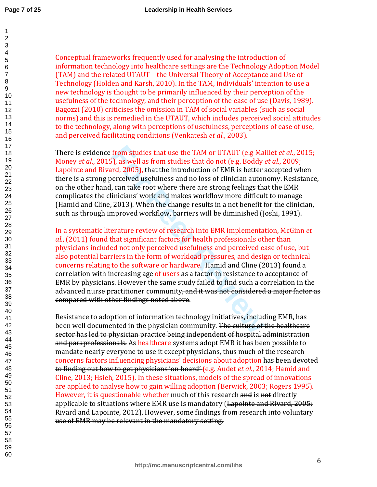| 1  |  |
|----|--|
|    |  |
|    |  |
|    |  |
|    |  |
|    |  |
|    |  |
|    |  |
|    |  |
|    |  |
|    |  |
|    |  |
|    |  |
|    |  |
|    |  |
|    |  |
|    |  |
|    |  |
|    |  |
|    |  |
|    |  |
|    |  |
|    |  |
|    |  |
|    |  |
|    |  |
|    |  |
|    |  |
|    |  |
|    |  |
|    |  |
|    |  |
|    |  |
|    |  |
|    |  |
|    |  |
|    |  |
|    |  |
|    |  |
|    |  |
|    |  |
|    |  |
|    |  |
|    |  |
|    |  |
|    |  |
|    |  |
|    |  |
| 40 |  |
|    |  |
| 41 |  |
| 42 |  |
| 43 |  |
| 44 |  |
| 45 |  |
|    |  |
| 46 |  |
| 47 |  |
| 48 |  |
| 49 |  |
|    |  |
| 50 |  |
| 51 |  |
| 52 |  |
| 53 |  |
|    |  |
| 54 |  |
| 55 |  |
| 56 |  |
| 57 |  |
|    |  |
| 58 |  |
| 59 |  |

Conceptual frameworks frequently used for analysing the introduction of information technology into healthcare settings are the Technology Adoption Model (TAM) and the related UTAUT – the Universal Theory of Acceptance and Use of Technology (Holden and Karsh, 2010). In the TAM, individuals' intention to use a new technology is thought to be primarily influenced by their perception of the usefulness of the technology, and their perception of the ease of use (Davis, 1989). Bagozzi (2010) criticises the omission in TAM of social variables (such as social norms) and this is remedied in the UTAUT, which includes perceived social attitudes to the technology, along with perceptions of usefulness, perceptions of ease of use, and perceived facilitating conditions (Venkatesh *et al.*, 2003).

There is evidence from studies that use the TAM or UTAUT (e.g Maillet *et al.*, 2015; Money *et al*., 2015), as well as from studies that do not (e.g. Boddy *et al.*, 2009; Lapointe and Rivard, 2005), that the introduction of EMR is better accepted when there is a strong perceived usefulness and no loss of clinician autonomy. Resistance, on the other hand, can take root where there are strong feelings that the EMR complicates the clinicians' work and makes workflow more difficult to manage (Hamid and Cline, 2013). When the change results in a net benefit for the clinician, such as through improved workflow, barriers will be diminished (Joshi, 1991).

from studies that use the TAM or UTAUT (e.g Ma<br>
5), as well as from studies that do not (e.g. Boddy<br>
rrd, 2005), that the introduction of EMR is better :<br>
ercreived usefulness and no loss of clinician autor<br>
, can take roo In a systematic literature review of research into EMR implementation, McGinn *et al.*, (2011) found that significant factors for health professionals other than physicians included not only perceived usefulness and perceived ease of use, but also potential barriers in the form of workload pressures, and design or technical concerns relating to the software or hardware. Hamid and Cline (2013) found a correlation with increasing age of users as a factor in resistance to acceptance of EMR by physicians. However the same study failed to find such a correlation in the advanced nurse practitioner community, and it was not considered a major factor as compared with other findings noted above.

Resistance to adoption of information technology initiatives, including EMR, has been well documented in the physician community. The culture of the healthcare sector has led to physician practice being independent of hospital administration and paraprofessionals. As healthcare systems adopt EMR it has been possible to mandate nearly everyone to use it except physicians, thus much of the research concerns factors influencing physicians' decisions about adoption has been devoted to finding out how to get physicians 'on board' (e.g. Audet *et al.*, 2014; Hamid and Cline, 2013; Hsieh, 2015). In these situations, models of the spread of innovations are applied to analyse how to gain willing adoption (Berwick, 2003; Rogers 1995). However, it is questionable whether much of this research and is not directly applicable to situations where EMR use is mandatory (Lapointe and Rivard, 2005; Rivard and Lapointe, 2012). However, some findings from research into voluntary use of EMR may be relevant in the mandatory setting.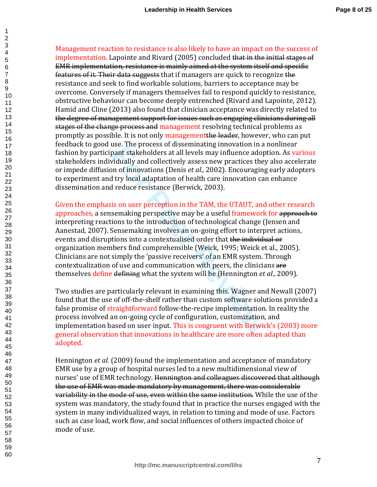Management reaction to resistance is also likely to have an impact on the success of implementation. Lapointe and Rivard (2005) concluded that in the initial stages of EMR implementation, resistance is mainly aimed at the system itself and specific features of it. Their data suggests that if managers are quick to recognize the resistance and seek to find workable solutions, barriers to acceptance may be overcome. Conversely if managers themselves fail to respond quickly to resistance, obstructive behaviour can become deeply entrenched (Rivard and Lapointe, 2012). Hamid and Cline (2013) also found that clinician acceptance was directly related to the degree of management support for issues such as engaging clinicians during all stages of the change process and management resolving technical problems as promptly as possible. It is not only management the leader, however, who can put feedback to good use. The process of disseminating innovation in a nonlinear fashion by participant stakeholders at all levels may influence adoption. As various stakeholders individually and collectively assess new practices they also accelerate or impede diffusion of innovations (Denis *et al.,* 2002). Encouraging early adopters to experiment and try local adaptation of health care innovation can enhance dissemination and reduce resistance (Berwick, 2003).

123456789

abse. The process of disseminating inflovation in a<br>pant stakeholders at all levels may influence adopted<br>vidually and collectively assess new practices the<br>pridually and collectively assess new practices the<br>proof innovat Given the emphasis on user perception in the TAM, the UTAUT, and other research approaches, a sensemaking perspective may be a useful framework for approach to interpreting reactions to the introduction of technological change (Jensen and Aanestad, 2007). Sensemaking involves an on-going effort to interpret actions, events and disruptions into a contextualised order that the individual or organization members find comprehensible (Weick, 1995; Weick et al., 2005). Clinicians are not simply the 'passive receivers' of an EMR system. Through contextualization of use and communication with peers, the clinicians are themselves define defining what the system will be (Hennington *et al.,* 2009).

Two studies are particularly relevant in examining this. Wagner and Newall (2007) found that the use of off-the-shelf rather than custom software solutions provided a false promise of straightforward follow-the-recipe implementation. In reality the process involved an on-going cycle of configuration, customization, and implementation based on user input. This is congruent with Berwick's (2003) more general observation that innovations in healthcare are more often adapted than adopted.

Hennington *et al.* (2009) found the implementation and acceptance of mandatory EMR use by a group of hospital nurses led to a new multidimensional view of nurses' use of EMR technology. <del>Hennington and colleagues discovered that although</del> the use of EMR was made mandatory by management, there was considerable variability in the mode of use, even within the same institution. While the use of the system was mandatory, the study found that in practice the nurses engaged with the system in many individualized ways, in relation to timing and mode of use. Factors such as case load, work flow, and social influences of others impacted choice of mode of use.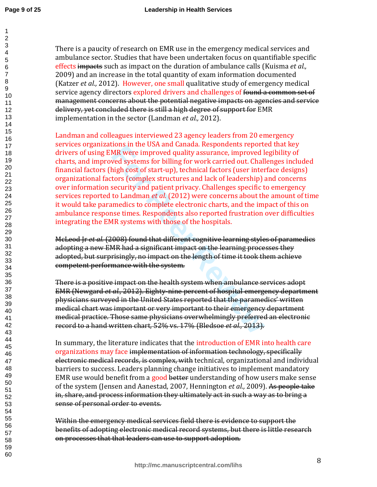There is a paucity of research on EMR use in the emergency medical services and ambulance sector. Studies that have been undertaken focus on quantifiable specific effects impacts such as impact on the duration of ambulance calls (Kuisma *et al.,* 2009) and an increase in the total quantity of exam information documented (Katzer *et al.,* 2012). However, one small qualitative study of emergency medical service agency directors explored drivers and challenges of found a common set of management concerns about the potential negative impacts on agencies and service delivery, yet concluded there is still a high degree of support for EMR implementation in the sector (Landman *et al.,* 2012).

MR were improved quality assurance, improved the<br>momes the improved quality assurance, improved light of sterms for billing for work carried out. Chall<br>high cost of start-up), technical factors (user inter<br>tors (complex st Landman and colleagues interviewed 23 agency leaders from 20 emergency services organizations in the USA and Canada. Respondents reported that key drivers of using EMR were improved quality assurance, improved legibility of charts, and improved systems for billing for work carried out. Challenges included financial factors (high cost of start-up), technical factors (user interface designs) organizational factors (complex structures and lack of leadership) and concerns over information security and patient privacy. Challenges specific to emergency services reported to Landman *et al.* (2012) were concerns about the amount of time it would take paramedics to complete electronic charts, and the impact of this on ambulance response times. Respondents also reported frustration over difficulties integrating the EMR systems with those of the hospitals.

McLeod Jr *et al.* (2008) found that different cognitive learning styles of paramedics adopting a new EMR had a significant impact on the learning processes they adopted, but surprisingly, no impact on the length of time it took them achieve competent performance with the system.

There is a positive impact on the health system when ambulance services adopt EMR (Newgard *et al.,* 2012). Eighty-nine percent of hospital emergency department physicians surveyed in the United States reported that the paramedics' written medical chart was important or very important to their emergency department medical practice. Those same physicians overwhelmingly preferred an electronic record to a hand written chart, 52% vs. 17% (Bledsoe *et al.,* 2013).

In summary, the literature indicates that the introduction of EMR into health care organizations may face implementation of information technology, specifically electronic medical records, is complex, with technical, organizational and individual barriers to success. Leaders planning change initiatives to implement mandatory EMR use would benefit from a good better understanding of how users make sense of the system (Jensen and Aanestad, 2007, Hennington *et al.,* 2009). As people take in, share, and process information they ultimately act in such a way as to bring a sense of personal order to events.

Within the emergency medical services field there is evidence to support the benefits of adopting electronic medical record systems, but there is little research on processes that that leaders can use to support adoption.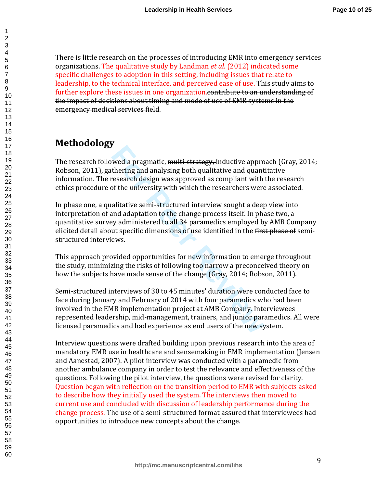There is little research on the processes of introducing EMR into emergency services organizations. The qualitative study by Landman *et al.* (2012) indicated some specific challenges to adoption in this setting, including issues that relate to leadership, to the technical interface, and perceived ease of use. This study aims to further explore these issues in one organization.contribute to an understanding of the impact of decisions about timing and mode of use of EMR systems in the emergency medical services field.

# **Methodology**

The research followed a pragmatic, multi-strategy, inductive approach (Gray, 2014; Robson, 2011), gathering and analysing both qualitative and quantitative information. The research design was approved as compliant with the research ethics procedure of the university with which the researchers were associated.

**Four Act Act Act Sylved** a pragmatic, <del>multi-strategy,</del> inductive approthering and analysing both qualitative and quant research design was approved as compliant with of the university with which the researchers were alit In phase one, a qualitative semi-structured interview sought a deep view into interpretation of and adaptation to the change process itself. In phase two, a quantitative survey administered to all 34 paramedics employed by AMB Company elicited detail about specific dimensions of use identified in the first phase of semistructured interviews.

This approach provided opportunities for new information to emerge throughout the study, minimizing the risks of following too narrow a preconceived theory on how the subjects have made sense of the change (Gray, 2014; Robson, 2011).

Semi-structured interviews of 30 to 45 minutes' duration were conducted face to face during January and February of 2014 with four paramedics who had been involved in the EMR implementation project at AMB Company. Interviewees represented leadership, mid-management, trainers, and junior paramedics. All were licensed paramedics and had experience as end users of the new system.

Interview questions were drafted building upon previous research into the area of mandatory EMR use in healthcare and sensemaking in EMR implementation (Jensen and Aanestad, 2007). A pilot interview was conducted with a paramedic from another ambulance company in order to test the relevance and effectiveness of the questions. Following the pilot interview, the questions were revised for clarity. Question began with reflection on the transition period to EMR with subjects asked to describe how they initially used the system. The interviews then moved to current use and concluded with discussion of leadership performance during the change process. The use of a semi-structured format assured that interviewees had opportunities to introduce new concepts about the change.

 $\mathbf{1}$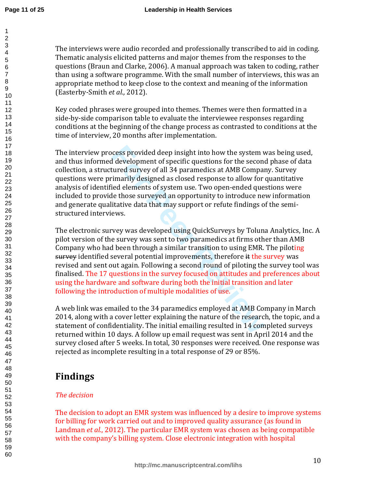The interviews were audio recorded and professionally transcribed to aid in coding. Thematic analysis elicited patterns and major themes from the responses to the questions (Braun and Clarke, 2006). A manual approach was taken to coding, rather than using a software programme. With the small number of interviews, this was an appropriate method to keep close to the context and meaning of the information (Easterby-Smith *et al.,* 2012).

Key coded phrases were grouped into themes. Themes were then formatted in a side-by-side comparison table to evaluate the interviewee responses regarding conditions at the beginning of the change process as contrasted to conditions at the time of interview, 20 months after implementation.

cess provided deep insight into how the system v<br>d development of specific questions for the secont<br>tured survey of all 34 paramedics at AMB Compai<br>timarily designed as closed response to allow for<br>ied elements of system u The interview process provided deep insight into how the system was being used, and thus informed development of specific questions for the second phase of data collection, a structured survey of all 34 paramedics at AMB Company. Survey questions were primarily designed as closed response to allow for quantitative analysis of identified elements of system use. Two open-ended questions were included to provide those surveyed an opportunity to introduce new information and generate qualitative data that may support or refute findings of the semistructured interviews.

The electronic survey was developed using QuickSurveys by Toluna Analytics, Inc. A pilot version of the survey was sent to two paramedics at firms other than AMB Company who had been through a similar transition to using EMR. The piloting survey identified several potential improvements, therefore it the survey was revised and sent out again. Following a second round of piloting the survey tool was finalised. The 17 questions in the survey focused on attitudes and preferences about using the hardware and software during both the initial transition and later following the introduction of multiple modalities of use.

A web link was emailed to the 34 paramedics employed at AMB Company in March 2014, along with a cover letter explaining the nature of the research, the topic, and a statement of confidentiality. The initial emailing resulted in 14 completed surveys returned within 10 days. A follow up email request was sent in April 2014 and the survey closed after 5 weeks. In total, 30 responses were received. One response was rejected as incomplete resulting in a total response of 29 or 85%.

# **Findings**

## *The decision*

The decision to adopt an EMR system was influenced by a desire to improve systems for billing for work carried out and to improved quality assurance (as found in Landman *et al.*, 2012). The particular EMR system was chosen as being compatible with the company's billing system. Close electronic integration with hospital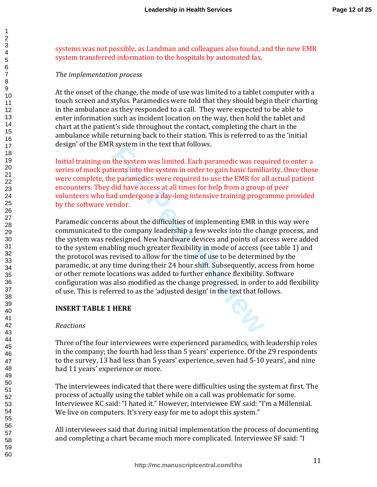systems was not possible, as Landman and colleagues also found, and the new EMR system transferred information to the hospitals by automated fax.

#### *The implementation process*

123456789

At the onset of the change, the mode of use was limited to a tablet computer with a touch screen and stylus. Paramedics were told that they should begin their charting in the ambulance as they responded to a call. They were expected to be able to enter information such as incident location on the way, then hold the tablet and chart at the patient's side throughout the contact, completing the chart in the ambulance while returning back to their station. This is referred to as the 'initial design' of the EMR system in the text that follows.

Initial training on the system was limited. Each paramedic was required to enter a series of mock patients into the system in order to gain basic familiarity. Once those were complete, the paramedics were required to use the EMR for all actual patient encounters. They did have access at all times for help from a group of peer volunteers who had undergone a day-long intensive training programme provided by the software vendor.

For Properties and Hollows.<br>
The system in the lext diath ionows.<br>
The system in order to gain basic familie<br>
e paramedics were required to use the EMR for a<br>
did have access at all times for help from a group<br>
ad undergon Paramedic concerns about the difficulties of implementing EMR in this way were communicated to the company leadership a few weeks into the change process, and the system was redesigned. New hardware devices and points of access were added to the system enabling much greater flexibility in mode of access (see table 1) and the protocol was revised to allow for the time of use to be determined by the paramedic, at any time during their 24 hour shift. Subsequently, access from home or other remote locations was added to further enhance flexibility. Software configuration was also modified as the change progressed, in order to add flexibility of use. This is referred to as the 'adjusted design' in the text that follows.

#### **INSERT TABLE 1 HERE**

#### *Reactions*

Three of the four interviewees were experienced paramedics, with leadership roles in the company; the fourth had less than 5 years' experience. Of the 29 respondents to the survey, 13 had less than 5 years' experience, seven had 5-10 years', and nine had 11 years' experience or more.

The interviewees indicated that there were difficulties using the system at first. The process of actually using the tablet while on a call was problematic for some. Interviewee KC said: "I hated it." However, interviewee EW said: "I'm a Millennial. We live on computers. It's very easy for me to adopt this system."

All interviewees said that during initial implementation the process of documenting and completing a chart became much more complicated. Interviewee SF said: "I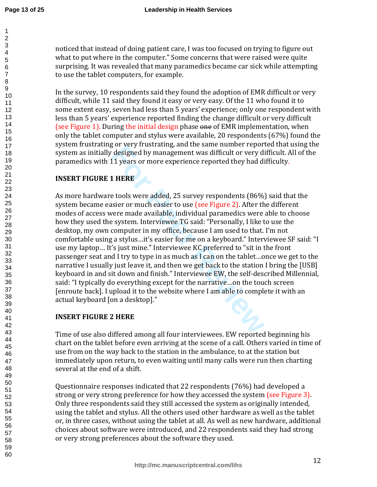$\mathbf{1}$ 

60

noticed that instead of doing patient care, I was too focused on trying to figure out what to put where in the computer." Some concerns that were raised were quite surprising. It was revealed that many paramedics became car sick while attempting to use the tablet computers, for example.

In the survey, 10 respondents said they found the adoption of EMR difficult or very difficult, while 11 said they found it easy or very easy. Of the 11 who found it to some extent easy, seven had less than 5 years' experience; only one respondent with less than 5 years' experience reported finding the change difficult or very difficult (see Figure 1). During the initial design phase one of EMR implementation, when only the tablet computer and stylus were available, 20 respondents (67%) found the system frustrating or very frustrating, and the same number reported that using the system as initially designed by management was difficult or very difficult. All of the paramedics with 11 years or more experience reported they had difficulty.

## **INSERT FIGURE 1 HERE**

For Very Hustraanig, and the same humber reported designed by management was difficult or very dial years or more experience reported they had diverses to use (see Figure 2). After the ended available, individual paramedic As more hardware tools were added, 25 survey respondents (86%) said that the system became easier or much easier to use (see Figure 2). After the different modes of access were made available, individual paramedics were able to choose how they used the system. Interviewee TG said: "Personally, I like to use the desktop, my own computer in my office, because I am used to that. I'm not comfortable using a stylus…it's easier for me on a keyboard." Interviewee SF said: "I use my laptop… It's just mine." Interviewee KC preferred to "sit in the front passenger seat and I try to type in as much as I can on the tablet…once we get to the narrative I usually just leave it, and then we get back to the station I bring the [USB] keyboard in and sit down and finish." Interviewee EW, the self-described Millennial, said: "I typically do everything except for the narrative…on the touch screen [enroute back]. I upload it to the website where I am able to complete it with an actual keyboard [on a desktop]."

#### **INSERT FIGURE 2 HERE**

Time of use also differed among all four interviewees. EW reported beginning his chart on the tablet before even arriving at the scene of a call. Others varied in time of use from on the way back to the station in the ambulance, to at the station but immediately upon return, to even waiting until many calls were run then charting several at the end of a shift.

Questionnaire responses indicated that 22 respondents (76%) had developed a strong or very strong preference for how they accessed the system (see Figure 3). Only three respondents said they still accessed the system as originally intended, using the tablet and stylus. All the others used other hardware as well as the tablet or, in three cases, without using the tablet at all. As well as new hardware, additional choices about software were introduced, and 22 respondents said they had strong or very strong preferences about the software they used.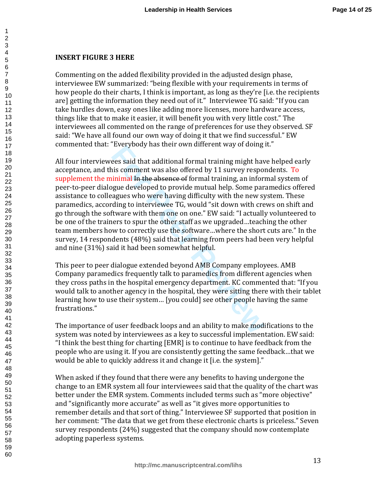#### **INSERT FIGURE 3 HERE**

123456789

Commenting on the added flexibility provided in the adjusted design phase, interviewee EW summarized: "being flexible with your requirements in terms of how people do their charts, I think is important, as long as they're [i.e. the recipients are] getting the information they need out of it." Interviewee TG said: "If you can take hurdles down, easy ones like adding more licenses, more hardware access, things like that to make it easier, it will benefit you with very little cost." The interviewees all commented on the range of preferences for use they observed. SF said: "We have all found our own way of doing it that we find successful." EW commented that: "Everybody has their own different way of doing it."

Everybody has then own dimerent way of doing<br>ees said that additional formal training might hav<br>is comment was also offered by 11 survey respon<br>inimal I<del>n the absence of</del> formal training, an infor-<br>gue developed to provide All four interviewees said that additional formal training might have helped early acceptance, and this comment was also offered by 11 survey respondents. To supplement the minimal In the absence of formal training, an informal system of peer-to-peer dialogue developed to provide mutual help. Some paramedics offered assistance to colleagues who were having difficulty with the new system. These paramedics, according to interviewee TG, would "sit down with crews on shift and go through the software with them one on one." EW said: "I actually volunteered to be one of the trainers to spur the other staff as we upgraded…teaching the other team members how to correctly use the software…where the short cuts are." In the survey, 14 respondents (48%) said that learning from peers had been very helpful and nine (31%) said it had been somewhat helpful.

This peer to peer dialogue extended beyond AMB Company employees. AMB Company paramedics frequently talk to paramedics from different agencies when they cross paths in the hospital emergency department. KC commented that: "If you would talk to another agency in the hospital, they were sitting there with their tablet learning how to use their system… [you could] see other people having the same frustrations."

The importance of user feedback loops and an ability to make modifications to the system was noted by interviewees as a key to successful implementation. EW said: "I think the best thing for charting [EMR] is to continue to have feedback from the people who are using it. If you are consistently getting the same feedback…that we would be able to quickly address it and change it [i.e. the system]."

When asked if they found that there were any benefits to having undergone the change to an EMR system all four interviewees said that the quality of the chart was better under the EMR system. Comments included terms such as "more objective" and "significantly more accurate" as well as "it gives more opportunities to remember details and that sort of thing." Interviewee SF supported that position in her comment: "The data that we get from these electronic charts is priceless." Seven survey respondents (24%) suggested that the company should now contemplate adopting paperless systems.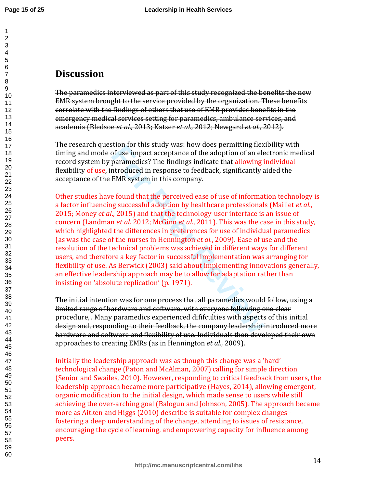## **Discussion**

The paramedics interviewed as part of this study recognized the benefits the new EMR system brought to the service provided by the organization. These benefits correlate with the findings of others that use of EMR provides benefits in the emergency medical services setting for paramedics, ambulance services, and academia (Bledsoe *et al.,* 2013; Katzer *et al.,* 2012; Newgard *et al.,* 2012).

The research question for this study was: how does permitting flexibility with timing and mode of use impact acceptance of the adoption of an electronic medical record system by paramedics? The findings indicate that allowing individual flexibility of use, introduced in response to feedback, significantly aided the acceptance of the EMR system in this company.

of use impact acceptance of the adoption of an elemptate control of see impact acceptance of the adoption of an elementedics? The findings indicate that allowing incrementics? The findings indicate that allowing incremente Other studies have found that the perceived ease of use of information technology is a factor influencing successful adoption by healthcare professionals (Maillet *et al.*, 2015; Money *et al*., 2015) and that the technology-user interface is an issue of concern (Landman *et al.* 2012; McGinn *et al.*, 2011). This was the case in this study, which highlighted the differences in preferences for use of individual paramedics (as was the case of the nurses in Hennington *et al.*, 2009). Ease of use and the resolution of the technical problems was achieved in different ways for different users, and therefore a key factor in successful implementation was arranging for flexibility of use. As Berwick (2003) said about implementing innovations generally, an effective leadership approach may be to allow for adaptation rather than insisting on 'absolute replication' (p. 1971).

The initial intention was for one process that all paramedics would follow, using a limited range of hardware and software, with everyone following one clear procedure, . Many paramedics experienced dififculties with aspects of this initial design and, responding to their feedback, the company leadership introduced more hardware and software and flexibility of use. Individuals then developed their own approaches to creating EMRs (as in Hennington *et al.,* 2009).

Initially the leadership approach was as though this change was a 'hard' technological change (Paton and McAlman, 2007) calling for simple direction (Senior and Swailes, 2010). However, responding to critical feedback from users, the leadership approach became more participative (Hayes, 2014), allowing emergent, organic modification to the initial design, which made sense to users while still achieving the over-arching goal (Balogun and Johnson, 2005). The approach became more as Aitken and Higgs (2010) describe is suitable for complex changes fostering a deep understanding of the change, attending to issues of resistance, encouraging the cycle of learning, and empowering capacity for influence among peers.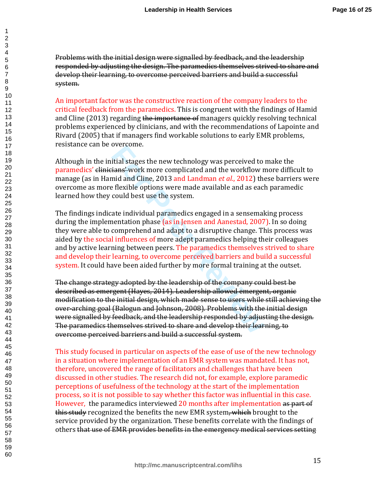Problems with the initial design were signalled by feedback, and the leadership responded by adjusting the design. The paramedics themselves strived to share and develop their learning, to overcome perceived barriers and build a successful system.

An important factor was the constructive reaction of the company leaders to the critical feedback from the paramedics. This is congruent with the findings of Hamid and Cline (2013) regarding the importance of managers quickly resolving technical problems experienced by clinicians, and with the recommendations of Lapointe and Rivard (2005) that if managers find workable solutions to early EMR problems, resistance can be overcome.

Although in the initial stages the new technology was perceived to make the paramedics' clinicians' work more complicated and the workflow more difficult to manage (as in Hamid and Cline, 2013 and Landman *et al.*, 2012) these barriers were overcome as more flexible options were made available and as each paramedic learned how they could best use the system.

itial stages the new technology was perceived to<br>
i<del>ans'</del>-work more complicated and the workflow n<br>
mid and Cline, 2013 and Landman *et al.*, 2012) the<br>
Plexible options were made available and as eacl<br>
could best use the The findings indicate individual paramedics engaged in a sensemaking process during the implementation phase (as in Jensen and Aanestad, 2007). In so doing they were able to comprehend and adapt to a disruptive change. This process was aided by the social influences of more adept paramedics helping their colleagues and by active learning between peers. The paramedics themselves strived to share and develop their learning, to overcome perceived barriers and build a successful system. It could have been aided further by more formal training at the outset.

The change strategy adopted by the leadership of the company could best be described as emergent (Hayes, 2014). Leadership allowed emergent, organic modification to the initial design, which made sense to users while still achieving the over-arching goal (Balogun and Johnson, 2008). Problems with the initial design were signalled by feedback, and the leadership responded by adjusting the design. The paramedics themselves strived to share and develop their learning, to overcome perceived barriers and build a successful system.

This study focused in particular on aspects of the ease of use of the new technology in a situation where implementation of an EMR system was mandated. It has not, therefore, uncovered the range of facilitators and challenges that have been discussed in other studies. The research did not, for example, explore paramedic perceptions of usefulness of the technology at the start of the implementation process, so it is not possible to say whether this factor was influential in this case. However, the paramedics interviewed 20 months after implementation as part of this study recognized the benefits the new EMR system, which brought to the service provided by the organization. These benefits correlate with the findings of others that use of EMR provides benefits in the emergency medical services setting

1  $\overline{2}$ 3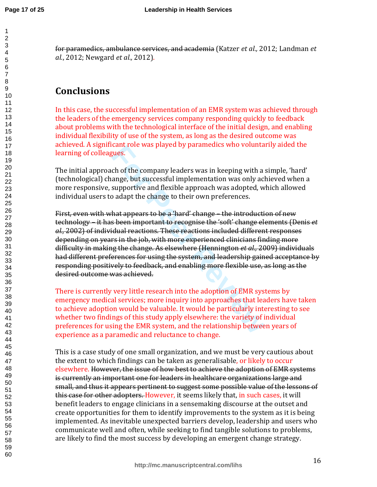for paramedics, ambulance services, and academia (Katzer *et al.,* 2012; Landman *et al.*, 2012; Newgard *et al.,* 2012).

# **Conclusions**

In this case, the successful implementation of an EMR system was achieved through the leaders of the emergency services company responding quickly to feedback about problems with the technological interface of the initial design, and enabling individual flexibility of use of the system, as long as the desired outcome was achieved. A significant role was played by paramedics who voluntarily aided the learning of colleagues.

The initial approach of the company leaders was in keeping with a simple, 'hard' (technological) change, but successful implementation was only achieved when a more responsive, supportive and flexible approach was adopted, which allowed individual users to adapt the change to their own preferences.

real tole was played by parametics who voluma<br>gues.<br>
the of the company leaders was in keeping with a<br>
ange, but successful implementation was only acl<br>
supportive and flexible approach was adopted, w<br>
b adapt the change t First, even with what appears to be a 'hard' change – the introduction of new technology – it has been important to recognise the 'soft' change elements (Denis *et al.,* 2002) of individual reactions. These reactions included different responses depending on years in the job, with more experienced clinicians finding more difficulty in making the change. As elsewhere (Hennington *et al.,* 2009) individuals had different preferences for using the system, and leadership gained acceptance by responding positively to feedback, and enabling more flexible use, as long as the desired outcome was achieved.

There is currently very little research into the adoption of EMR systems by emergency medical services; more inquiry into approaches that leaders have taken to achieve adoption would be valuable. It would be particularly interesting to see whether two findings of this study apply elsewhere: the variety of individual preferences for using the EMR system, and the relationship between years of experience as a paramedic and reluctance to change.

This is a case study of one small organization, and we must be very cautious about the extent to which findings can be taken as generalisable, or likely to occur elsewhere. However, the issue of how best to achieve the adoption of EMR systems is currently an important one for leaders in healthcare organizations large and small, and thus it appears pertinent to suggest some possible value of the lessons of this case for other adopters. However, it seems likely that, in such cases, it will benefit leaders to engage clinicians in a sensemaking discourse at the outset and create opportunities for them to identify improvements to the system as it is being implemented. As inevitable unexpected barriers develop, leadership and users who communicate well and often, while seeking to find tangible solutions to problems, are likely to find the most success by developing an emergent change strategy.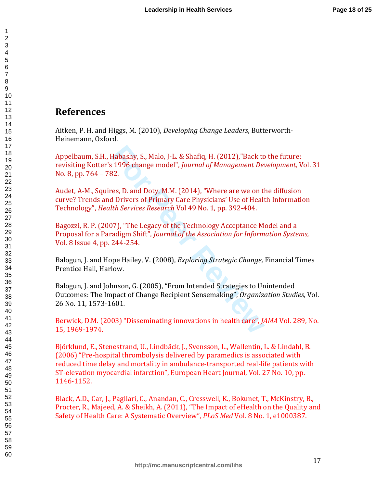## **References**

Aitken, P. H. and Higgs, M. (2010), *Developing Change Leaders*, Butterworth-Heinemann, Oxford.

Habashy, S., Malo, J-L. & Shafiq, H. (2012),"Back to<br>1996 change model", *Journal of Management Devalsement Devalsement Devalsement Devalsement Devalsement Devalsement Devalsement Devalsement Devalsement Primary Care Physi* Appelbaum, S.H., Habashy, S., Malo, J-L. & Shafiq, H. (2012),"Back to the future: revisiting Kotter's 1996 change model", *Journal of Management Development,* Vol. 31 No. 8, pp. 764 – 782.

Audet, A-M., Squires, D. and Doty, M.M. (2014), "Where are we on the diffusion curve? Trends and Drivers of Primary Care Physicians' Use of Health Information Technology", *Health Services Research* Vol 49 No. 1, pp. 392-404.

Bagozzi, R. P. (2007), "The Legacy of the Technology Acceptance Model and a Proposal for a Paradigm Shift", *Journal of the Association for Information Systems,* Vol. 8 Issue 4, pp. 244-254.

Balogun, J. and Hope Hailey, V. (2008), *Exploring Strategic Change,* Financial Times Prentice Hall, Harlow.

Balogun, J. and Johnson, G. (2005), "From Intended Strategies to Unintended Outcomes: The Impact of Change Recipient Sensemaking", *Organization Studies,* Vol. 26 No. 11, 1573-1601 *.*

Berwick, D.M. (2003) "Disseminating innovations in health care", *JAMA* Vol. 289, No. 15, 1969-1974.

Björklund, E., Stenestrand, U., Lindbäck, J., Svensson, L., Wallentin, L. & Lindahl, B. (2006) "Pre-hospital thrombolysis delivered by paramedics is associated with reduced time delay and mortality in ambulance-transported real-life patients with ST-elevation myocardial infarction", European Heart Journal, Vol. 27 No. 10, pp. 1146-1152.

Black, A.D., Car, J., Pagliari, C., Anandan, C., Cresswell, K., Bokunet, T., McKinstry, B., Procter, R., Majeed, A. & Sheikh, A. (2011), "The Impact of eHealth on the Quality and Safety of Health Care: A Systematic Overview", *PLoS Med* Vol. 8 No. 1, e1000387.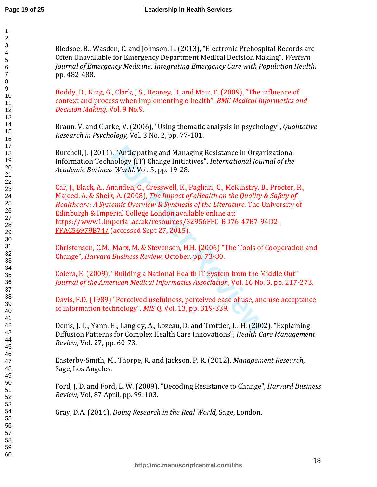Bledsoe, B., Wasden, C. and Johnson, L. (2013), "Electronic Prehospital Records are Often Unavailable for Emergency Department Medical Decision Making", *Western Journal of Emergency Medicine: Integrating Emergency Care with Population Health* **,** pp. 482-488.

Boddy, D., King, G., Clark, J.S., Heaney, D. and Mair, F. (2009), "The influence of context and process when implementing e-health", *BMC Medical Informatics and Decision Making,* Vol. 9 No.9.

Braun, V. and Clarke, V. (2006), "Using thematic analysis in psychology", *Qualitative Research in Psychology,* Vol. 3 No. 2, pp. 77-101.

Burchell, J. (2011), "Anticipating and Managing Resistance in Organizational Information Technology (IT) Change Initiatives", *International Journal of the Academic Business World,* Vol. 5 **,** pp. 19-28.

er "Anticipating and Managing Resistance in Organ<br>
For Peer Review (IT) Change Initiatives", *International Jour*<br>
For World, Vol. 5, pp. 19-28.<br> **For Peer Review & Synthesis of the Literature.** The Unity of the Condon ava Car, J., Black, A., Ananden, C., Cresswell, K., Pagliari, C., McKinstry, B., Procter, R., Majeed, A. & Sheik, A. (2008), *The Impact of eHealth on the Quality & Safety of Healthcare: A Systemic Overview & Synthesis of the Literature*. The University of Edinburgh & Imperial College London available online at: https://www1.imperial.ac.uk/resources/32956FFC-BD76-47B7-94D2- FFAC56979B74/ (accessed Sept 27, 2015).

Christensen, C.M., Marx, M. & Stevenson, H.H. (2006) "The Tools of Cooperation and Change", *Harvard Business Review,* October, pp. 73-80.

Coiera, E. (2009), "Building a National Health IT System from the Middle Out" *Journal of the American Medical Informatics Association*, Vol. 16 No. 3, pp. 217-273.

Davis, F.D. (1989) "Perceived usefulness, perceived ease of use, and use acceptance of information technology", *MIS Q,* Vol. 13, pp. 319-339.

Denis, J.-L., Yann. H., Langley, A., Lozeau, D. and Trottier, L.-H. (2002), "Explaining Diffusion Patterns for Complex Health Care Innovations", *Health Care Management Review,* Vol. 27 **,** pp. 60-73.

Easterby-Smith, M., Thorpe, R. and Jackson, P. R. (2012). *Management Research*, Sage, Los Angeles.

Ford, J. D. and Ford, L. W. (2009), "Decoding Resistance to Change", *Harvard Business Review,* Vol, 87 April, pp. 99-103.

Gray, D.A. (2014), *Doing Research in the Real World,* Sage, London.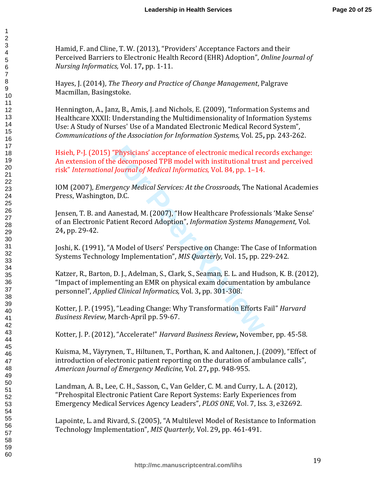Hamid, F. and Cline, T. W. (2013), "Providers' Acceptance Factors and their Perceived Barriers to Electronic Health Record (EHR) Adoption", *Online Journal of Nursing Informatics,* Vol. 17 **,** pp. 1-11.

Hayes, J. (2014), *The Theory and Practice of Change Management*, Palgrave Macmillan, Basingstoke.

Hennington, A., Janz, B., Amis, J. and Nichols, E. (2009), "Information Systems and Healthcare XXXII: Understanding the Multidimensionality of Information Systems Use: A Study of Nurses' Use of a Mandated Electronic Medical Record System", *Communications of the Association for Information Systems,* Vol. 25 **,** pp. 243-262.

"Physicians' acceptance of electronic medical rective decomposed TPB model with institutional trust<br> *Fournal of Medical Informatics, Vol. 84, pp.* 1–14.<br> *Journal of Medical Informatics, Vol. 84, pp.* 1–14.<br> *A* p.C.<br> **A** Hsieh, P-J. (2015) "Physicians' acceptance of electronic medical records exchange: An extension of the decomposed TPB model with institutional trust and perceived risk" *International Journal of Medical Informatics,* Vol. 84, pp. 1–14.

IOM (2007), *Emergency Medical Services: At the Crossroads*, The National Academies Press, Washington, D.C.

Jensen, T. B. and Aanestad, M. (2007), "How Healthcare Professionals 'Make Sense' of an Electronic Patient Record Adoption", *Information Systems Management,* Vol. **,** pp. 29-42.

Joshi, K. (1991), "A Model of Users' Perspective on Change: The Case of Information Systems Technology Implementation", *MIS Quarterly,* Vol. 15 **,** pp. 229-242.

Katzer, R., Barton, D. J., Adelman, S., Clark, S., Seaman, E. L. and Hudson, K. B. (2012), "Impact of implementing an EMR on physical exam documentation by ambulance personnel", *Applied Clinical Informatics,* Vol. 3 **,** pp. 301-308.

Kotter, J. P. (1995), "Leading Change: Why Transformation Efforts Fail" *Harvard Business Review,* March-April pp. 59-67.

Kotter, J. P. (2012), "Accelerate!" *Harvard Business Review* **,** November, pp. 45-58.

Kuisma, M., Väyrynen, T., Hiltunen, T., Porthan, K. and Aaltonen, J. (2009), "Effect of introduction of electronic patient reporting on the duration of ambulance calls", *American Journal of Emergency Medicine,* Vol. 27 **,** pp. 948-955.

Landman, A. B., Lee, C. H., Sasson, C., Van Gelder, C. M. and Curry, L. A. (2012), "Prehospital Electronic Patient Care Report Systems: Early Experiences from Emergency Medical Services Agency Leaders", *PLOS ONE,* Vol. 7, Iss. 3, e32692.

Lapointe, L. and Rivard, S. (2005), "A Multilevel Model of Resistance to Information Technology Implementation", *MIS Quarterly,* Vol. 29 **,** pp. 461-491.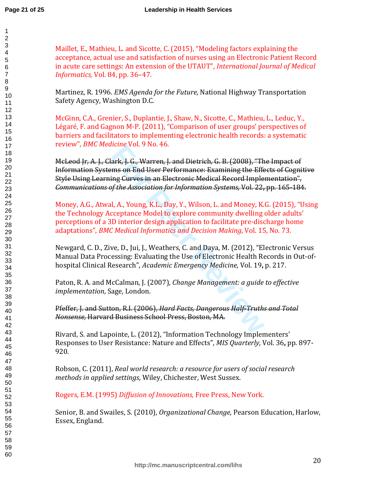60

Maillet, E., Mathieu, L. and Sicotte, C. (2015), "Modeling factors explaining the acceptance, actual use and satisfaction of nurses using an Electronic Patient Record in acute care settings: An extension of the UTAUT", *International Journal of Medical Informatics,* Vol. 84, pp. 36–47.

Martinez, R. 1996. *EMS Agenda for the Future,* National Highway Transportation Safety Agency, Washington D.C.

McGinn, C.A., Grenier, S., Duplantie, J., Shaw, N., Sicotte, C., Mathieu, L., Leduc, Y., Légaré, F. and Gagnon M-P. (2011), "Comparison of user groups' perspectives of barriers and facilitators to implementing electronic health records: a systematic review", *BMC Medicine* Vol. 9 No. 46.

ark, J. G., Warren, J. and Dietrich, G. B. (2008), "Th<br>ms on End User Performance: Examining the Effering Curves in an Electronic Medical Record Imple<br>fr the Association for Information Systems, Vol. 22,<br>l, A., Young, K.L. McLeod Jr, A. J., Clark, J. G., Warren, J. and Dietrich, G. B. (2008), "The Impact of Information Systems on End User Performance: Examining the Effects of Cognitive Style Using Learning Curves in an Electronic Medical Record Implementation", *Communications of the Association for Information Systems,* Vol. 22 **,** pp. 165-184.

Money, A.G., Atwal, A., Young, K.L., Day, Y., Wilson, L. and Money, K.G. (2015), "Using the Technology Acceptance Model to explore community dwelling older adults' perceptions of a 3D interior design application to facilitate pre-discharge home adaptations", *BMC Medical Informatics and Decision Making*, Vol. 15, No. 73.

Newgard, C. D., Zive, D., Jui, J., Weathers, C. and Daya, M. (2012), "Electronic Versus Manual Data Processing: Evaluating the Use of Electronic Health Records in Out-ofhospital Clinical Research", *Academic Emergency Medicine,* Vol. 19**,** p. 217.

Paton, R. A. and McCalman, J. (2007), *Change Management: a guide to effective implementation*, Sage, London.

Pfeffer, J. and Sutton, R.I. (2006), *Hard Facts, Dangerous Half-Truths and Total Nonsense,* Harvard Business School Press, Boston, MA.

Rivard, S. and Lapointe, L. (2012), "Information Technology Implementers' Responses to User Resistance: Nature and Effects", *MIS Quarterly,* Vol. 36 **,** pp. 897- 920.

Robson, C. (2011), *Real world research: a resource for users of social research methods in applied settings*, Wiley, Chichester, West Sussex.

Rogers, E.M. (1995) *Diffusion of Innovations,* Free Press, New York.

Senior, B. and Swailes, S. (2010), *Organizational Change,* Pearson Education, Harlow, Essex, England.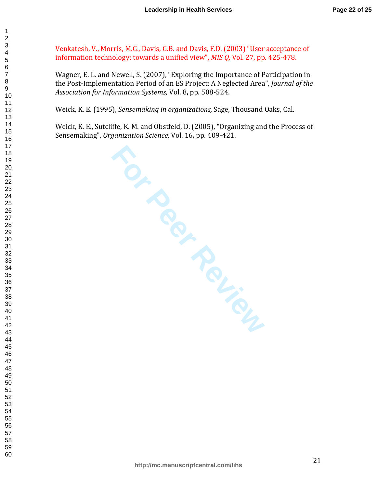Venkatesh, V., Morris, M.G., Davis, G.B. and Davis, F.D. (2003) "User acceptance of information technology: towards a unified view", *MIS Q,* Vol. 27, pp. 425-478.

Wagner, E. L. and Newell, S. (2007), "Exploring the Importance of Participation in the Post-Implementation Period of an ES Project: A Neglected Area", *Journal of the Association for Information Systems,* Vol. 8 **,** pp. 508-524.

Weick, K. E. (1995), *Sensemaking in organizations,* Sage, Thousand Oaks, Cal.

Weick, K. E., Sutcliffe, K. M. and Obstfeld, D. (2005), "Organizing and the Process of Sensemaking", *Organization Science,* Vol. 16 **,** pp. 409-421.

**FOR PROPERTION**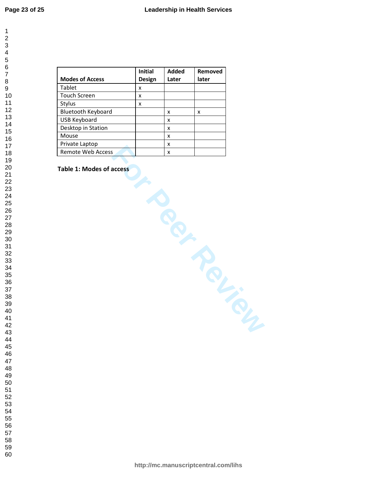| 1                   |
|---------------------|
|                     |
|                     |
|                     |
|                     |
|                     |
|                     |
|                     |
|                     |
|                     |
|                     |
|                     |
|                     |
|                     |
|                     |
|                     |
|                     |
|                     |
|                     |
|                     |
|                     |
|                     |
|                     |
|                     |
|                     |
|                     |
|                     |
|                     |
|                     |
|                     |
|                     |
|                     |
|                     |
|                     |
|                     |
|                     |
|                     |
|                     |
|                     |
|                     |
|                     |
| 39                  |
| 40                  |
| 41                  |
| 42                  |
|                     |
| 43                  |
| 44                  |
| 45                  |
| 46                  |
| 47                  |
| 48                  |
| 49                  |
| 50                  |
| 5 <sup>2</sup><br>1 |
| 5,                  |
|                     |
| 53<br>3             |
| 54                  |
| -<br>55             |
| .<br>56             |
| 57                  |
| 58                  |
| 59                  |

|                        | Initial            | <b>Added</b> | Removed             |
|------------------------|--------------------|--------------|---------------------|
| <b>Modes of Access</b> | Design             | Later        | later               |
| Tablet                 | $\pmb{\mathsf{X}}$ |              |                     |
| <b>Touch Screen</b>    | $\pmb{\mathsf{X}}$ |              |                     |
| Stylus                 | X                  |              |                     |
| Bluetooth Keyboard     |                    | X            | X                   |
| <b>USB Keyboard</b>    |                    | X            |                     |
| Desktop in Station     |                    | X            |                     |
| Mouse                  |                    | X            |                     |
| Private Laptop         |                    | X            |                     |
| Remote Web Access      |                    | X            |                     |
|                        |                    |              |                     |
|                        |                    |              | <b>PL-SCRIPTION</b> |

#### **Table 1: Modes of access**

**http://mc.manuscriptcentral.com/lihs**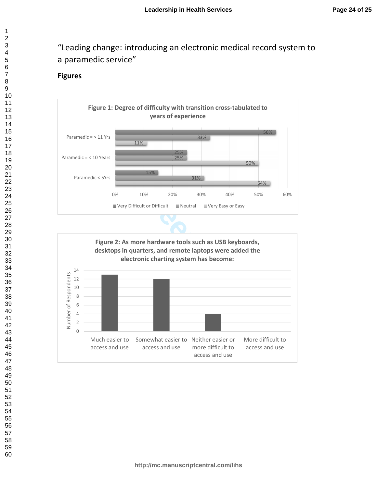# "Leading change: introducing an electronic medical record system to a paramedic service"

#### **Figures**



 $\mathbf{1}$